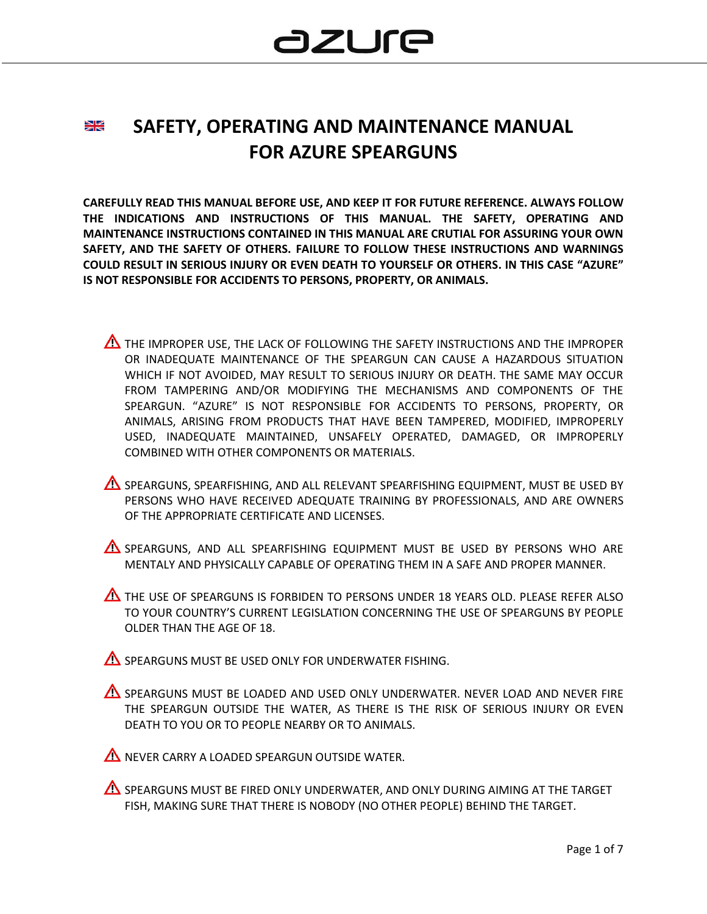#### **SAFETY, OPERATING AND MAINTENANCE MANUAL** ≱≼ **FOR AZURE SPEARGUNS**

**CAREFULLY READ THIS MANUAL BEFORE USE, AND KEEP IT FOR FUTURE REFERENCE. ALWAYS FOLLOW THE INDICATIONS AND INSTRUCTIONS OF THIS MANUAL. THE SAFETY, OPERATING AND MAINTENANCE INSTRUCTIONS CONTAINED IN THIS MANUAL ARE CRUTIAL FOR ASSURING YOUR OWN SAFETY, AND THE SAFETY OF OTHERS. FAILURE TO FOLLOW THESE INSTRUCTIONS AND WARNINGS COULD RESULT IN SERIOUS INJURY OR EVEN DEATH TO YOURSELF OR OTHERS. IN THIS CASE "AZURE" IS NOT RESPONSIBLE FOR ACCIDENTS TO PERSONS, PROPERTY, OR ANIMALS.**

- $\Delta$  the improper use. The lack of following the safety instructions and the improper OR INADEQUATE MAINTENANCE OF THE SPEARGUN CAN CAUSE A HAZARDOUS SITUATION WHICH IF NOT AVOIDED, MAY RESULT TO SERIOUS INJURY OR DEATH. THE SAME MAY OCCUR FROM TAMPERING AND/OR MODIFYING THE MECHANISMS AND COMPONENTS OF THE SPEARGUN. "AZURE" IS NOT RESPONSIBLE FOR ACCIDENTS TO PERSONS, PROPERTY, OR ANIMALS, ARISING FROM PRODUCTS THAT HAVE BEEN TAMPERED, MODIFIED, IMPROPERLY USED, INADEQUATE MAINTAINED, UNSAFELY OPERATED, DAMAGED, OR IMPROPERLY COMBINED WITH OTHER COMPONENTS OR MATERIALS.
- AS SPEARGUNS, SPEARFISHING, AND ALL RELEVANT SPEARFISHING EQUIPMENT, MUST BE USED BY PERSONS WHO HAVE RECEIVED ADEQUATE TRAINING BY PROFESSIONALS, AND ARE OWNERS OF THE APPROPRIATE CERTIFICATE AND LICENSES.
- A SPEARGUNS, AND ALL SPEARFISHING EQUIPMENT MUST BE USED BY PERSONS WHO ARE MENTALY AND PHYSICALLY CAPABLE OF OPERATING THEM IN A SAFE AND PROPER MANNER.
- THE USE OF SPEARGUNS IS FORBIDEN TO PERSONS UNDER 18 YEARS OLD. PLEASE REFER ALSO TO YOUR COUNTRY'S CURRENT LEGISLATION CONCERNING THE USE OF SPEARGUNS BY PEOPLE OLDER THAN THE AGE OF 18.

SPEARGUNS MUST BE USED ONLY FOR UNDERWATER FISHING.

AS SPEARGUNS MUST BE LOADED AND USED ONLY UNDERWATER. NEVER LOAD AND NEVER FIRE THE SPEARGUN OUTSIDE THE WATER, AS THERE IS THE RISK OF SERIOUS INJURY OR EVEN DEATH TO YOU OR TO PEOPLE NEARBY OR TO ANIMALS.

NEVER CARRY A LOADED SPEARGUN OUTSIDE WATER.

**AS SPEARGUNS MUST BE FIRED ONLY UNDERWATER, AND ONLY DURING AIMING AT THE TARGET** FISH, MAKING SURE THAT THERE IS NOBODY (NO OTHER PEOPLE) BEHIND THE TARGET.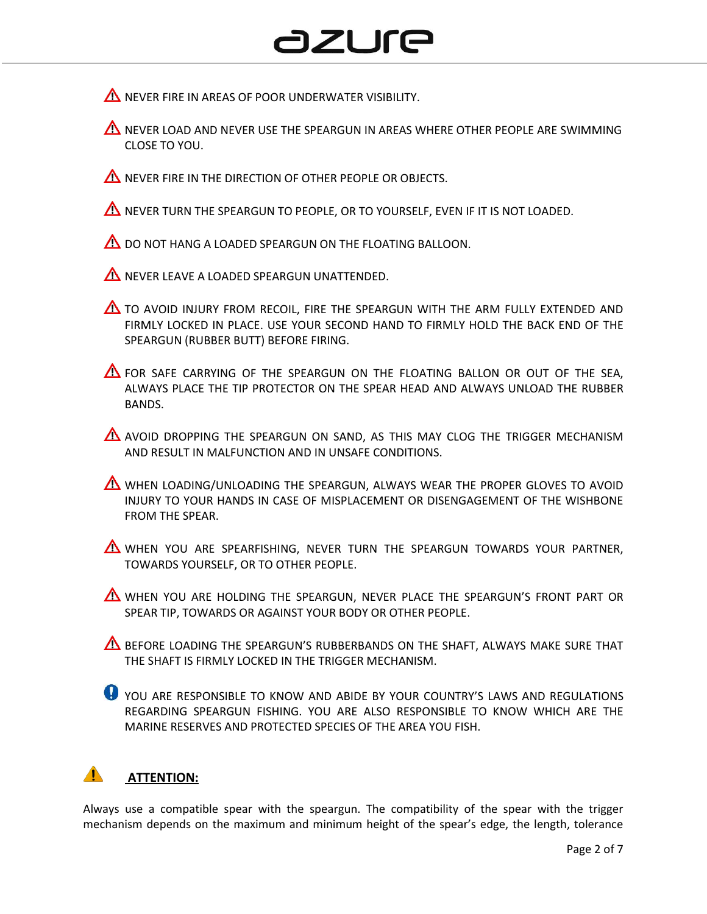## azure

 $\triangle$  NEVER FIRE IN AREAS OF POOR UNDERWATER VISIBILITY.

- $\Lambda$  never load and never use the speargun in areas where other people are swimming CLOSE TO YOU.
- $\triangle$  NEVER FIRE IN THE DIRECTION OF OTHER PEOPLE OR OBJECTS.

 $\triangle$  NEVER TURN THE SPEARGUN TO PEOPLE, OR TO YOURSELF, EVEN IF IT IS NOT LOADED.

 $\triangle$  DO NOT HANG A LOADED SPEARGUN ON THE FLOATING BALLOON.

**AN NEVER LEAVE A LOADED SPEARGUN UNATTENDED.** 

TO AVOID INJURY FROM RECOIL, FIRE THE SPEARGUN WITH THE ARM FULLY EXTENDED AND FIRMLY LOCKED IN PLACE. USE YOUR SECOND HAND TO FIRMLY HOLD THE BACK END OF THE SPEARGUN (RUBBER BUTT) BEFORE FIRING.

 $\triangle$  for safe carrying of the speargun on the floating ballon or out of the sea, ALWAYS PLACE THE TIP PROTECTOR ON THE SPEAR HEAD AND ALWAYS UNLOAD THE RUBBER BANDS.

AVOID DROPPING THE SPEARGUN ON SAND, AS THIS MAY CLOG THE TRIGGER MECHANISM AND RESULT IN MALFUNCTION AND IN UNSAFE CONDITIONS.

WHEN LOADING/UNLOADING THE SPEARGUN, ALWAYS WEAR THE PROPER GLOVES TO AVOID INJURY TO YOUR HANDS IN CASE OF MISPLACEMENT OR DISENGAGEMENT OF THE WISHBONE FROM THE SPEAR.

WHEN YOU ARE SPEARFISHING, NEVER TURN THE SPEARGUN TOWARDS YOUR PARTNER, TOWARDS YOURSELF, OR TO OTHER PEOPLE.

WHEN YOU ARE HOLDING THE SPEARGUN, NEVER PLACE THE SPEARGUN'S FRONT PART OR SPEAR TIP, TOWARDS OR AGAINST YOUR BODY OR OTHER PEOPLE.

**A** BEFORE LOADING THE SPEARGUN'S RUBBERBANDS ON THE SHAFT, ALWAYS MAKE SURE THAT THE SHAFT IS FIRMLY LOCKED IN THE TRIGGER MECHANISM.

**O** YOU ARE RESPONSIBLE TO KNOW AND ABIDE BY YOUR COUNTRY'S LAWS AND REGULATIONS REGARDING SPEARGUN FISHING. YOU ARE ALSO RESPONSIBLE TO KNOW WHICH ARE THE MARINE RESERVES AND PROTECTED SPECIES OF THE AREA YOU FISH.

### **ATTENTION:**

Always use a compatible spear with the speargun. The compatibility of the spear with the trigger mechanism depends on the maximum and minimum height of the spear's edge, the length, tolerance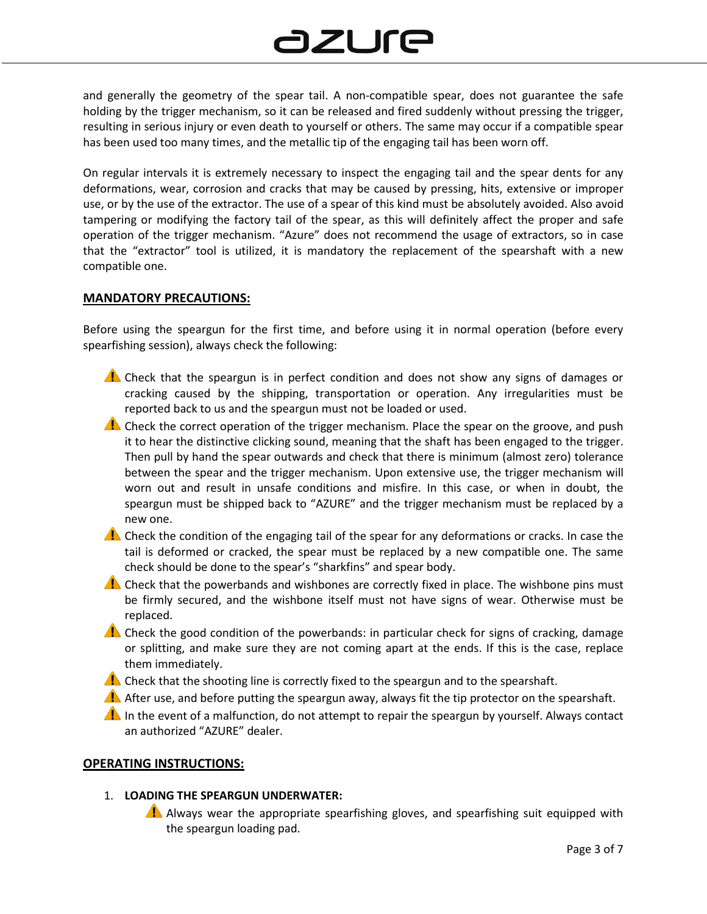# azure

and generally the geometry of the spear tail. A non-compatible spear, does not guarantee the safe holding by the trigger mechanism, so it can be released and fired suddenly without pressing the trigger, resulting in serious injury or even death to yourself or others. The same may occur if a compatible spear has been used too many times, and the metallic tip of the engaging tail has been worn off.

On regular intervals it is extremely necessary to inspect the engaging tail and the spear dents for any deformations, wear, corrosion and cracks that may be caused by pressing, hits, extensive or improper use, or by the use of the extractor. The use of a spear of this kind must be absolutely avoided. Also avoid tampering or modifying the factory tail of the spear, as this will definitely affect the proper and safe operation of the trigger mechanism. "Azure" does not recommend the usage of extractors, so in case that the "extractor" tool is utilized, it is mandatory the replacement of the spearshaft with a new compatible one.

#### **MANDATORY PRECAUTIONS:**

Before using the speargun for the first time, and before using it in normal operation (before every spearfishing session), always check the following:

- Check that the speargun is in perfect condition and does not show any signs of damages or cracking caused by the shipping, transportation or operation. Any irregularities must be reported back to us and the speargun must not be loaded or used.
- **A.** Check the correct operation of the trigger mechanism. Place the spear on the groove, and push it to hear the distinctive clicking sound, meaning that the shaft has been engaged to the trigger. Then pull by hand the spear outwards and check that there is minimum (almost zero) tolerance between the spear and the trigger mechanism. Upon extensive use, the trigger mechanism will worn out and result in unsafe conditions and misfire. In this case, or when in doubt, the speargun must be shipped back to "AZURE" and the trigger mechanism must be replaced by a new one.
- Check the condition of the engaging tail of the spear for any deformations or cracks. In case the tail is deformed or cracked, the spear must be replaced by a new compatible one. The same check should be done to the spear's "sharkfins" and spear body.
- $\triangle$  Check that the powerbands and wishbones are correctly fixed in place. The wishbone pins must be firmly secured, and the wishbone itself must not have signs of wear. Otherwise must be replaced.
- Check the good condition of the powerbands: in particular check for signs of cracking, damage or splitting, and make sure they are not coming apart at the ends. If this is the case, replace them immediately.
- $\triangle$  Check that the shooting line is correctly fixed to the speargun and to the spearshaft.
- After use, and before putting the speargun away, always fit the tip protector on the spearshaft.
- **In** the event of a malfunction, do not attempt to repair the speargun by yourself. Always contact an authorized "AZURE" dealer.

#### **OPERATING INSTRUCTIONS:**

- 1. **LOADING THE SPEARGUN UNDERWATER:**
	- Always wear the appropriate spearfishing gloves, and spearfishing suit equipped with the speargun loading pad.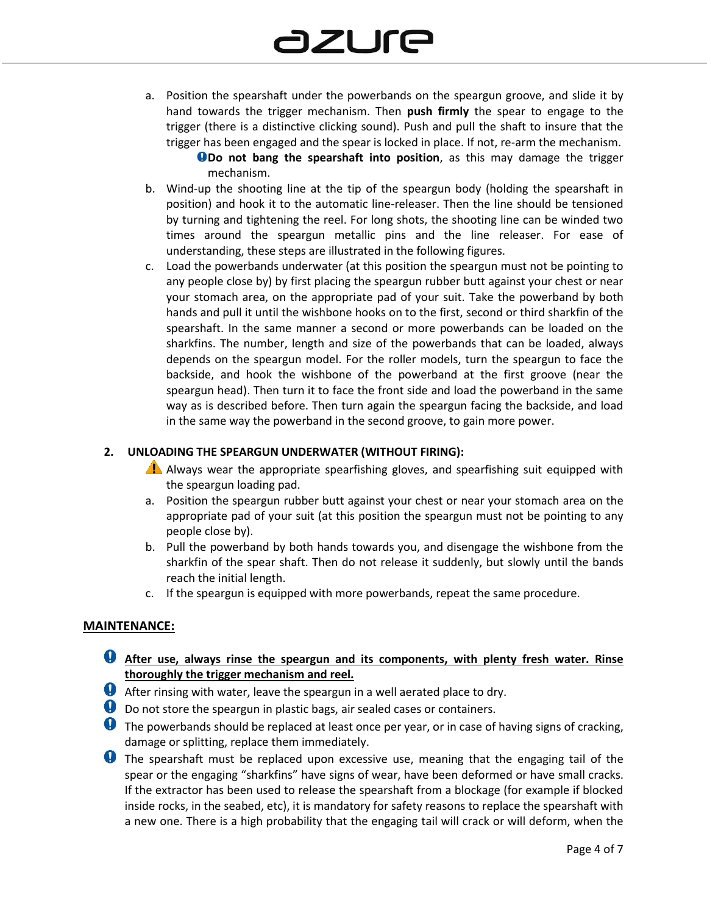a. Position the spearshaft under the powerbands on the speargun groove, and slide it by hand towards the trigger mechanism. Then **push firmly** the spear to engage to the trigger (there is a distinctive clicking sound). Push and pull the shaft to insure that the trigger has been engaged and the spear is locked in place. If not, re-arm the mechanism.

**ODo not bang the spearshaft into position**, as this may damage the trigger mechanism.

- b. Wind-up the shooting line at the tip of the speargun body (holding the spearshaft in position) and hook it to the automatic line-releaser. Then the line should be tensioned by turning and tightening the reel. For long shots, the shooting line can be winded two times around the speargun metallic pins and the line releaser. For ease of understanding, these steps are illustrated in the following figures.
- c. Load the powerbands underwater (at this position the speargun must not be pointing to any people close by) by first placing the speargun rubber butt against your chest or near your stomach area, on the appropriate pad of your suit. Take the powerband by both hands and pull it until the wishbone hooks on to the first, second or third sharkfin of the spearshaft. In the same manner a second or more powerbands can be loaded on the sharkfins. The number, length and size of the powerbands that can be loaded, always depends on the speargun model. For the roller models, turn the speargun to face the backside, and hook the wishbone of the powerband at the first groove (near the speargun head). Then turn it to face the front side and load the powerband in the same way as is described before. Then turn again the speargun facing the backside, and load in the same way the powerband in the second groove, to gain more power.

#### **2. UNLOADING THE SPEARGUN UNDERWATER (WITHOUT FIRING):**

- Always wear the appropriate spearfishing gloves, and spearfishing suit equipped with the speargun loading pad.
- a. Position the speargun rubber butt against your chest or near your stomach area on the appropriate pad of your suit (at this position the speargun must not be pointing to any people close by).
- b. Pull the powerband by both hands towards you, and disengage the wishbone from the sharkfin of the spear shaft. Then do not release it suddenly, but slowly until the bands reach the initial length.
- c. If the speargun is equipped with more powerbands, repeat the same procedure.

#### **MAINTENANCE:**

- **After use, always rinse the speargun and its components, with plenty fresh water. Rinse thoroughly the trigger mechanism and reel.**
- After rinsing with water, leave the speargun in a well aerated place to dry.
- **D** Do not store the speargun in plastic bags, air sealed cases or containers.
- **The powerbands should be replaced at least once per year, or in case of having signs of cracking,** damage or splitting, replace them immediately.
- **U** The spearshaft must be replaced upon excessive use, meaning that the engaging tail of the spear or the engaging "sharkfins" have signs of wear, have been deformed or have small cracks. If the extractor has been used to release the spearshaft from a blockage (for example if blocked inside rocks, in the seabed, etc), it is mandatory for safety reasons to replace the spearshaft with a new one. There is a high probability that the engaging tail will crack or will deform, when the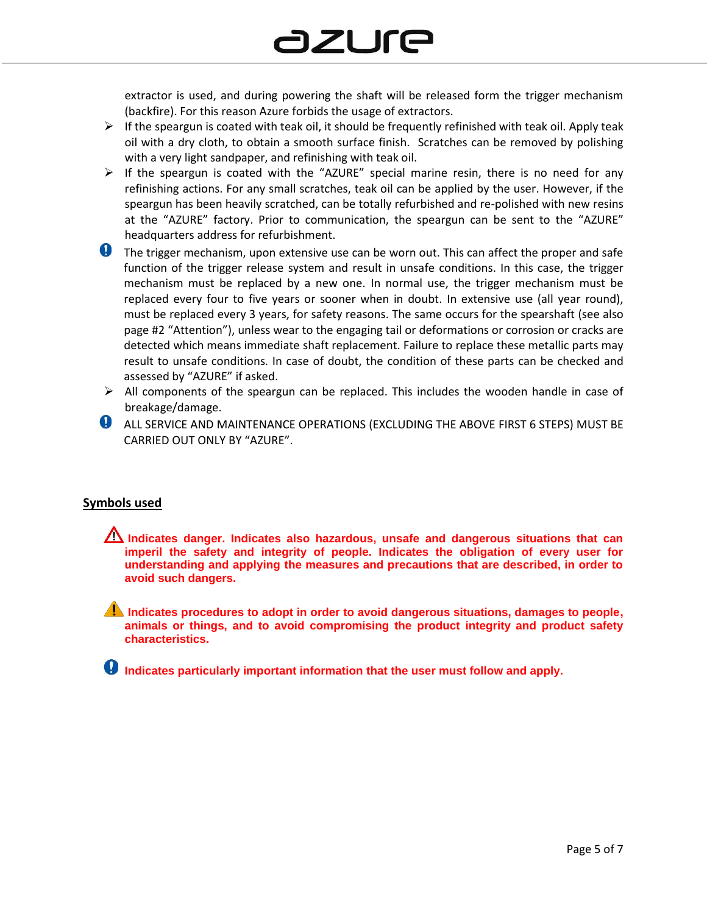extractor is used, and during powering the shaft will be released form the trigger mechanism (backfire). For this reason Azure forbids the usage of extractors.

- $\triangleright$  If the speargun is coated with teak oil, it should be frequently refinished with teak oil. Apply teak oil with a dry cloth, to obtain a smooth surface finish. Scratches can be removed by polishing with a very light sandpaper, and refinishing with teak oil.
- $\triangleright$  If the speargun is coated with the "AZURE" special marine resin, there is no need for any refinishing actions. For any small scratches, teak oil can be applied by the user. However, if the speargun has been heavily scratched, can be totally refurbished and re-polished with new resins at the "AZURE" factory. Prior to communication, the speargun can be sent to the "AZURE" headquarters address for refurbishment.
- **O** The trigger mechanism, upon extensive use can be worn out. This can affect the proper and safe function of the trigger release system and result in unsafe conditions. In this case, the trigger mechanism must be replaced by a new one. In normal use, the trigger mechanism must be replaced every four to five years or sooner when in doubt. In extensive use (all year round), must be replaced every 3 years, for safety reasons. The same occurs for the spearshaft (see also page #2 "Attention"), unless wear to the engaging tail or deformations or corrosion or cracks are detected which means immediate shaft replacement. Failure to replace these metallic parts may result to unsafe conditions. In case of doubt, the condition of these parts can be checked and assessed by "AZURE" if asked.
- $\triangleright$  All components of the speargun can be replaced. This includes the wooden handle in case of breakage/damage.
- **ALL SERVICE AND MAINTENANCE OPERATIONS (EXCLUDING THE ABOVE FIRST 6 STEPS) MUST BE** CARRIED OUT ONLY BY "AZURE".

#### **Symbols used**

- **Indicates danger. Indicates also hazardous, unsafe and dangerous situations that can imperil the safety and integrity of people. Indicates the obligation of every user for understanding and applying the measures and precautions that are described, in order to avoid such dangers.**
- **Indicates procedures to adopt in order to avoid dangerous situations, damages to people, animals or things, and to avoid compromising the product integrity and product safety characteristics.**
- **Indicates particularly important information that the user must follow and apply.**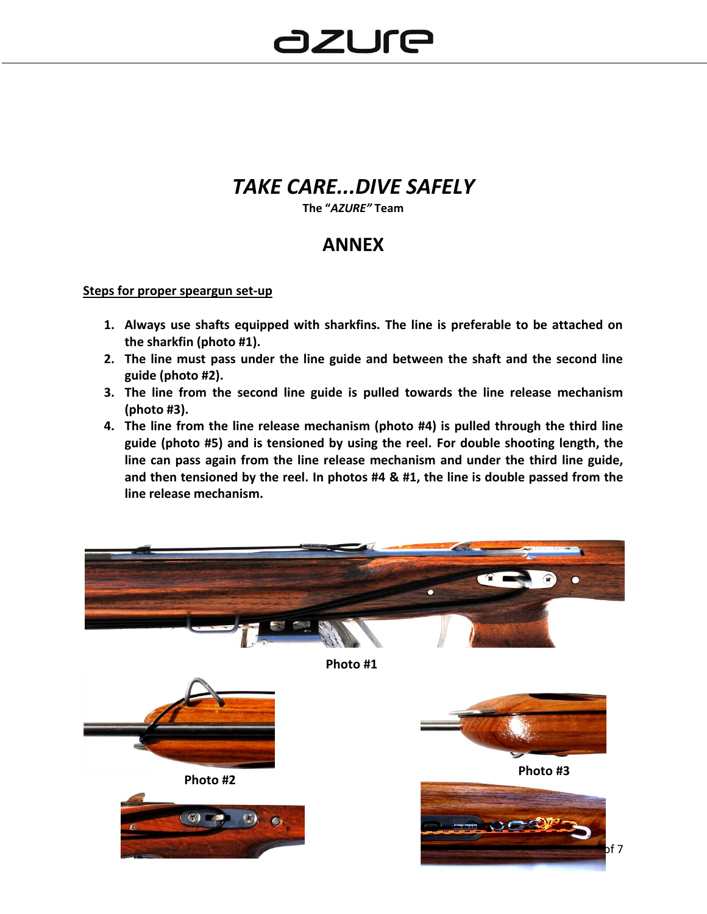### *TAKE CARE...DIVE SAFELY*

**The "***AZURE"* **Team**

### **ANNEX**

#### **Steps for proper speargun set-up**

- **1. Always use shafts equipped with sharkfins. The line is preferable to be attached on the sharkfin (photo #1).**
- **2. The line must pass under the line guide and between the shaft and the second line guide (photo #2).**
- **3. The line from the second line guide is pulled towards the line release mechanism (photo #3).**
- **4. The line from the line release mechanism (photo #4) is pulled through the third line guide (photo #5) and is tensioned by using the reel. For double shooting length, the line can pass again from the line release mechanism and under the third line guide, and then tensioned by the reel. In photos #4 & #1, the line is double passed from the line release mechanism.**